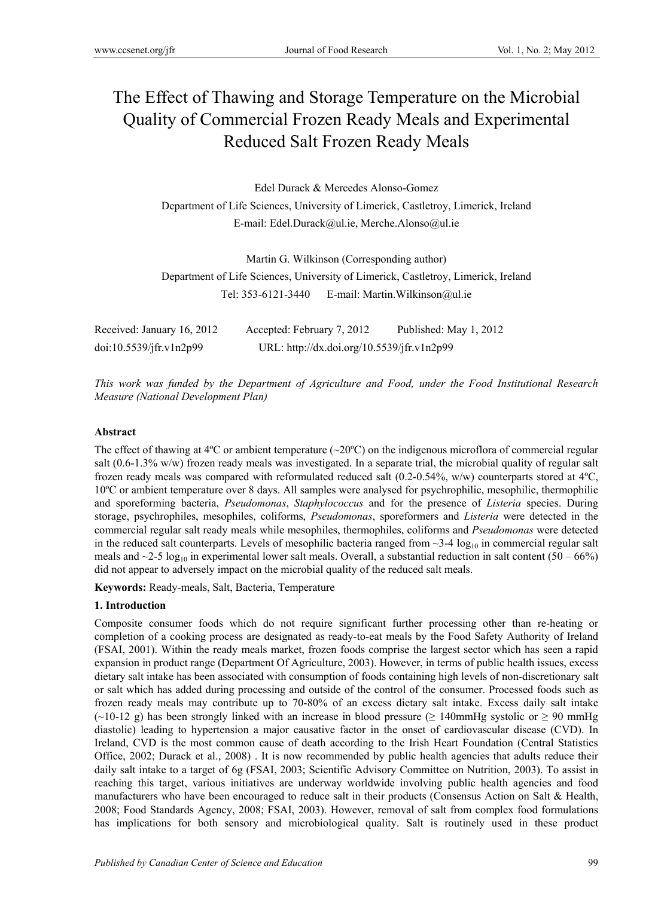# The Effect of Thawing and Storage Temperature on the Microbial Quality of Commercial Frozen Ready Meals and Experimental Reduced Salt Frozen Ready Meals

Edel Durack & Mercedes Alonso-Gomez Department of Life Sciences, University of Limerick, Castletroy, Limerick, Ireland E-mail: Edel.Durack@ul.ie, Merche.Alonso@ul.ie

Martin G. Wilkinson (Corresponding author) Department of Life Sciences, University of Limerick, Castletroy, Limerick, Ireland Tel: 353-6121-3440 E-mail: Martin.Wilkinson@ul.ie

| Received: January 16, 2012 | Accepted: February 7, 2012                 | Published: May 1, 2012 |
|----------------------------|--------------------------------------------|------------------------|
| doi:10.5539/jfr.v1n2p99    | URL: http://dx.doi.org/10.5539/jfr.v1n2p99 |                        |

*This work was funded by the Department of Agriculture and Food, under the Food Institutional Research Measure (National Development Plan)* 

#### **Abstract**

The effect of thawing at  $4^{\circ}$ C or ambient temperature ( $\sim$ 20 $^{\circ}$ C) on the indigenous microflora of commercial regular salt (0.6-1.3% w/w) frozen ready meals was investigated. In a separate trial, the microbial quality of regular salt frozen ready meals was compared with reformulated reduced salt (0.2-0.54%, w/w) counterparts stored at 4ºC, 10ºC or ambient temperature over 8 days. All samples were analysed for psychrophilic, mesophilic, thermophilic and sporeforming bacteria, *Pseudomonas*, *Staphylococcus* and for the presence of *Listeria* species. During storage, psychrophiles, mesophiles, coliforms, *Pseudomonas*, sporeformers and *Listeria* were detected in the commercial regular salt ready meals while mesophiles, thermophiles, coliforms and *Pseudomonas* were detected in the reduced salt counterparts. Levels of mesophilic bacteria ranged from  $\sim$ 3-4 log<sub>10</sub> in commercial regular salt meals and  $\sim$ 2-5 log<sub>10</sub> in experimental lower salt meals. Overall, a substantial reduction in salt content (50 – 66%) did not appear to adversely impact on the microbial quality of the reduced salt meals.

**Keywords:** Ready-meals, Salt, Bacteria, Temperature

## **1. Introduction**

Composite consumer foods which do not require significant further processing other than re-heating or completion of a cooking process are designated as ready-to-eat meals by the Food Safety Authority of Ireland (FSAI, 2001). Within the ready meals market, frozen foods comprise the largest sector which has seen a rapid expansion in product range (Department Of Agriculture, 2003). However, in terms of public health issues, excess dietary salt intake has been associated with consumption of foods containing high levels of non-discretionary salt or salt which has added during processing and outside of the control of the consumer. Processed foods such as frozen ready meals may contribute up to 70-80% of an excess dietary salt intake. Excess daily salt intake  $(\sim 10-12 \text{ g})$  has been strongly linked with an increase in blood pressure ( $\geq 140$ mmHg systolic or  $\geq 90$  mmHg diastolic) leading to hypertension a major causative factor in the onset of cardiovascular disease (CVD). In Ireland, CVD is the most common cause of death according to the Irish Heart Foundation (Central Statistics Office, 2002; Durack et al., 2008) . It is now recommended by public health agencies that adults reduce their daily salt intake to a target of 6g (FSAI, 2003; Scientific Advisory Committee on Nutrition, 2003). To assist in reaching this target, various initiatives are underway worldwide involving public health agencies and food manufacturers who have been encouraged to reduce salt in their products (Consensus Action on Salt & Health, 2008; Food Standards Agency, 2008; FSAI, 2003). However, removal of salt from complex food formulations has implications for both sensory and microbiological quality. Salt is routinely used in these product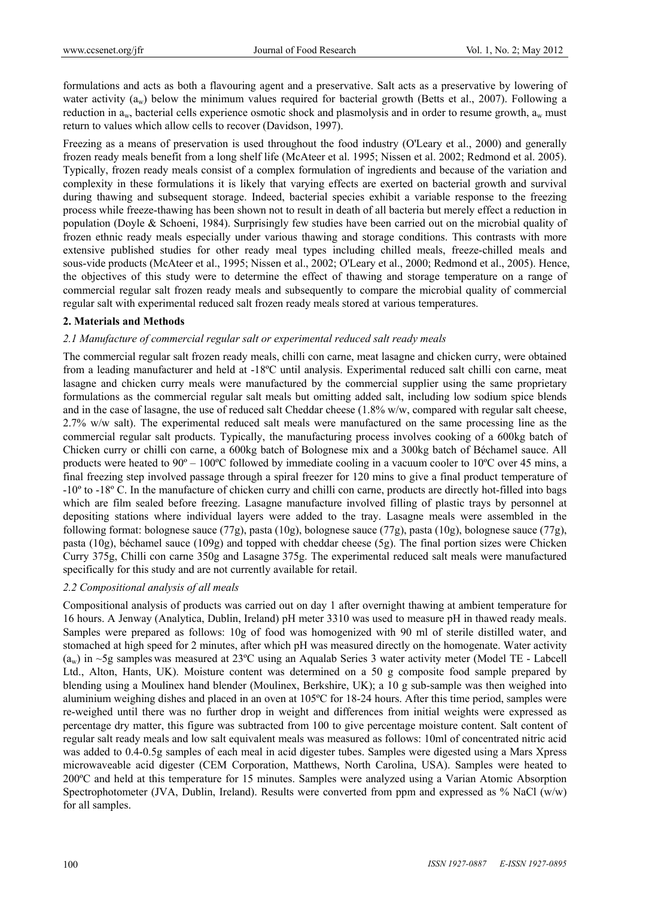formulations and acts as both a flavouring agent and a preservative. Salt acts as a preservative by lowering of water activity (a<sub>w</sub>) below the minimum values required for bacterial growth (Betts et al., 2007). Following a reduction in  $a_w$ , bacterial cells experience osmotic shock and plasmolysis and in order to resume growth,  $a_w$  must return to values which allow cells to recover (Davidson, 1997).

Freezing as a means of preservation is used throughout the food industry (O'Leary et al., 2000) and generally frozen ready meals benefit from a long shelf life (McAteer et al. 1995; Nissen et al. 2002; Redmond et al. 2005). Typically, frozen ready meals consist of a complex formulation of ingredients and because of the variation and complexity in these formulations it is likely that varying effects are exerted on bacterial growth and survival during thawing and subsequent storage. Indeed, bacterial species exhibit a variable response to the freezing process while freeze-thawing has been shown not to result in death of all bacteria but merely effect a reduction in population (Doyle & Schoeni, 1984). Surprisingly few studies have been carried out on the microbial quality of frozen ethnic ready meals especially under various thawing and storage conditions. This contrasts with more extensive published studies for other ready meal types including chilled meals, freeze-chilled meals and sous-vide products (McAteer et al., 1995; Nissen et al., 2002; O'Leary et al., 2000; Redmond et al., 2005). Hence, the objectives of this study were to determine the effect of thawing and storage temperature on a range of commercial regular salt frozen ready meals and subsequently to compare the microbial quality of commercial regular salt with experimental reduced salt frozen ready meals stored at various temperatures.

#### **2. Materials and Methods**

#### *2.1 Manufacture of commercial regular salt or experimental reduced salt ready meals*

The commercial regular salt frozen ready meals, chilli con carne, meat lasagne and chicken curry, were obtained from a leading manufacturer and held at -18ºC until analysis. Experimental reduced salt chilli con carne, meat lasagne and chicken curry meals were manufactured by the commercial supplier using the same proprietary formulations as the commercial regular salt meals but omitting added salt, including low sodium spice blends and in the case of lasagne, the use of reduced salt Cheddar cheese (1.8% w/w, compared with regular salt cheese, 2.7% w/w salt). The experimental reduced salt meals were manufactured on the same processing line as the commercial regular salt products. Typically, the manufacturing process involves cooking of a 600kg batch of Chicken curry or chilli con carne, a 600kg batch of Bolognese mix and a 300kg batch of Béchamel sauce. All products were heated to 90º – 100ºC followed by immediate cooling in a vacuum cooler to 10ºC over 45 mins, a final freezing step involved passage through a spiral freezer for 120 mins to give a final product temperature of -10º to -18º C. In the manufacture of chicken curry and chilli con carne, products are directly hot-filled into bags which are film sealed before freezing. Lasagne manufacture involved filling of plastic trays by personnel at depositing stations where individual layers were added to the tray. Lasagne meals were assembled in the following format: bolognese sauce (77g), pasta (10g), bolognese sauce (77g), pasta (10g), bolognese sauce (77g), pasta (10g), béchamel sauce (109g) and topped with cheddar cheese (5g). The final portion sizes were Chicken Curry 375g, Chilli con carne 350g and Lasagne 375g. The experimental reduced salt meals were manufactured specifically for this study and are not currently available for retail.

#### *2.2 Compositional analysis of all meals*

Compositional analysis of products was carried out on day 1 after overnight thawing at ambient temperature for 16 hours. A Jenway (Analytica, Dublin, Ireland) pH meter 3310 was used to measure pH in thawed ready meals. Samples were prepared as follows: 10g of food was homogenized with 90 ml of sterile distilled water, and stomached at high speed for 2 minutes, after which pH was measured directly on the homogenate. Water activity  $(a_w)$  in ~5g samples was measured at 23°C using an Aqualab Series 3 water activity meter (Model TE - Labcell Ltd., Alton, Hants, UK). Moisture content was determined on a 50 g composite food sample prepared by blending using a Moulinex hand blender (Moulinex, Berkshire, UK); a 10 g sub-sample was then weighed into aluminium weighing dishes and placed in an oven at 105ºC for 18-24 hours. After this time period, samples were re-weighed until there was no further drop in weight and differences from initial weights were expressed as percentage dry matter, this figure was subtracted from 100 to give percentage moisture content. Salt content of regular salt ready meals and low salt equivalent meals was measured as follows: 10ml of concentrated nitric acid was added to 0.4-0.5g samples of each meal in acid digester tubes. Samples were digested using a Mars Xpress microwaveable acid digester (CEM Corporation, Matthews, North Carolina, USA). Samples were heated to 200ºC and held at this temperature for 15 minutes. Samples were analyzed using a Varian Atomic Absorption Spectrophotometer (JVA, Dublin, Ireland). Results were converted from ppm and expressed as % NaCl (w/w) for all samples.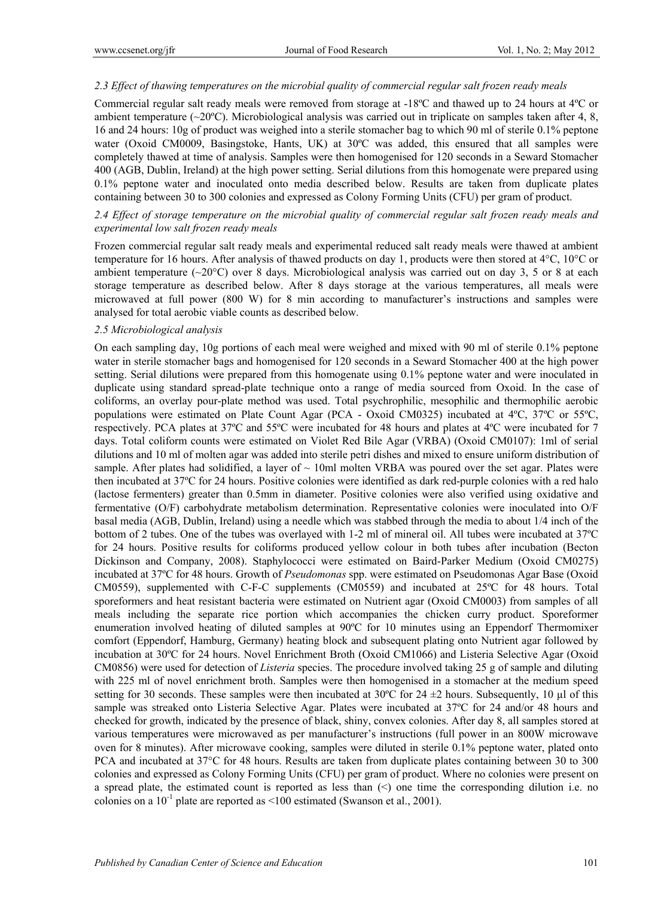#### *2.3 Effect of thawing temperatures on the microbial quality of commercial regular salt frozen ready meals*

Commercial regular salt ready meals were removed from storage at -18ºC and thawed up to 24 hours at 4ºC or ambient temperature ( $\sim$ 20 $\degree$ C). Microbiological analysis was carried out in triplicate on samples taken after 4, 8, 16 and 24 hours: 10g of product was weighed into a sterile stomacher bag to which 90 ml of sterile 0.1% peptone water (Oxoid CM0009, Basingstoke, Hants, UK) at 30ºC was added, this ensured that all samples were completely thawed at time of analysis. Samples were then homogenised for 120 seconds in a Seward Stomacher 400 (AGB, Dublin, Ireland) at the high power setting. Serial dilutions from this homogenate were prepared using 0.1% peptone water and inoculated onto media described below. Results are taken from duplicate plates containing between 30 to 300 colonies and expressed as Colony Forming Units (CFU) per gram of product.

#### *2.4 Effect of storage temperature on the microbial quality of commercial regular salt frozen ready meals and experimental low salt frozen ready meals*

Frozen commercial regular salt ready meals and experimental reduced salt ready meals were thawed at ambient temperature for 16 hours. After analysis of thawed products on day 1, products were then stored at 4°C, 10°C or ambient temperature ( $\sim$ 20 $\degree$ C) over 8 days. Microbiological analysis was carried out on day 3, 5 or 8 at each storage temperature as described below. After 8 days storage at the various temperatures, all meals were microwaved at full power (800 W) for 8 min according to manufacturer's instructions and samples were analysed for total aerobic viable counts as described below.

#### *2.5 Microbiological analysis*

On each sampling day, 10g portions of each meal were weighed and mixed with 90 ml of sterile 0.1% peptone water in sterile stomacher bags and homogenised for 120 seconds in a Seward Stomacher 400 at the high power setting. Serial dilutions were prepared from this homogenate using 0.1% peptone water and were inoculated in duplicate using standard spread-plate technique onto a range of media sourced from Oxoid. In the case of coliforms, an overlay pour-plate method was used. Total psychrophilic, mesophilic and thermophilic aerobic populations were estimated on Plate Count Agar (PCA - Oxoid CM0325) incubated at 4ºC, 37ºC or 55ºC, respectively. PCA plates at 37ºC and 55ºC were incubated for 48 hours and plates at 4ºC were incubated for 7 days. Total coliform counts were estimated on Violet Red Bile Agar (VRBA) (Oxoid CM0107): 1ml of serial dilutions and 10 ml of molten agar was added into sterile petri dishes and mixed to ensure uniform distribution of sample. After plates had solidified, a layer of  $\sim 10$ ml molten VRBA was poured over the set agar. Plates were then incubated at 37ºC for 24 hours. Positive colonies were identified as dark red-purple colonies with a red halo (lactose fermenters) greater than 0.5mm in diameter. Positive colonies were also verified using oxidative and fermentative (O/F) carbohydrate metabolism determination. Representative colonies were inoculated into O/F basal media (AGB, Dublin, Ireland) using a needle which was stabbed through the media to about 1/4 inch of the bottom of 2 tubes. One of the tubes was overlayed with 1-2 ml of mineral oil. All tubes were incubated at 37ºC for 24 hours. Positive results for coliforms produced yellow colour in both tubes after incubation (Becton Dickinson and Company, 2008). Staphylococci were estimated on Baird-Parker Medium (Oxoid CM0275) incubated at 37ºC for 48 hours. Growth of *Pseudomonas* spp. were estimated on Pseudomonas Agar Base (Oxoid CM0559), supplemented with C-F-C supplements (CM0559) and incubated at 25ºC for 48 hours. Total sporeformers and heat resistant bacteria were estimated on Nutrient agar (Oxoid CM0003) from samples of all meals including the separate rice portion which accompanies the chicken curry product. Sporeformer enumeration involved heating of diluted samples at 90ºC for 10 minutes using an Eppendorf Thermomixer comfort (Eppendorf, Hamburg, Germany) heating block and subsequent plating onto Nutrient agar followed by incubation at 30ºC for 24 hours. Novel Enrichment Broth (Oxoid CM1066) and Listeria Selective Agar (Oxoid CM0856) were used for detection of *Listeria* species. The procedure involved taking 25 g of sample and diluting with 225 ml of novel enrichment broth. Samples were then homogenised in a stomacher at the medium speed setting for 30 seconds. These samples were then incubated at 30°C for 24  $\pm$ 2 hours. Subsequently, 10  $\mu$ l of this sample was streaked onto Listeria Selective Agar. Plates were incubated at 37ºC for 24 and/or 48 hours and checked for growth, indicated by the presence of black, shiny, convex colonies. After day 8, all samples stored at various temperatures were microwaved as per manufacturer's instructions (full power in an 800W microwave oven for 8 minutes). After microwave cooking, samples were diluted in sterile 0.1% peptone water, plated onto PCA and incubated at 37°C for 48 hours. Results are taken from duplicate plates containing between 30 to 300 colonies and expressed as Colony Forming Units (CFU) per gram of product. Where no colonies were present on a spread plate, the estimated count is reported as less than  $\leq$  one time the corresponding dilution i.e. no colonies on a  $10^{-1}$  plate are reported as <100 estimated (Swanson et al., 2001).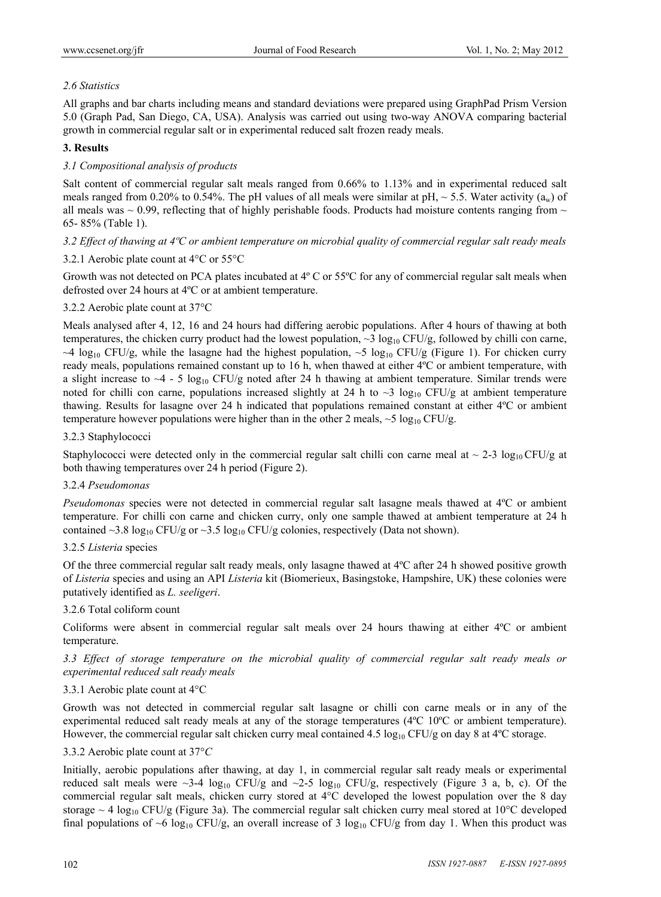# *2.6 Statistics*

All graphs and bar charts including means and standard deviations were prepared using GraphPad Prism Version 5.0 (Graph Pad, San Diego, CA, USA). Analysis was carried out using two-way ANOVA comparing bacterial growth in commercial regular salt or in experimental reduced salt frozen ready meals.

# **3. Results**

# *3.1 Compositional analysis of products*

Salt content of commercial regular salt meals ranged from 0.66% to 1.13% and in experimental reduced salt meals ranged from 0.20% to 0.54%. The pH values of all meals were similar at pH,  $\sim$  5.5. Water activity (a<sub>w</sub>) of all meals was  $\sim$  0.99, reflecting that of highly perishable foods. Products had moisture contents ranging from  $\sim$ 65- 85% (Table 1).

## *3.2 Effect of thawing at 4ºC or ambient temperature on microbial quality of commercial regular salt ready meals*

## 3.2.1 Aerobic plate count at 4°C or 55°C

Growth was not detected on PCA plates incubated at 4º C or 55ºC for any of commercial regular salt meals when defrosted over 24 hours at 4ºC or at ambient temperature.

## 3.2.2 Aerobic plate count at 37°C

Meals analysed after 4, 12, 16 and 24 hours had differing aerobic populations. After 4 hours of thawing at both temperatures, the chicken curry product had the lowest population,  $\sim$ 3 log<sub>10</sub> CFU/g, followed by chilli con carne,  $\sim$ 4 log<sub>10</sub> CFU/g, while the lasagne had the highest population,  $\sim$ 5 log<sub>10</sub> CFU/g (Figure 1). For chicken curry ready meals, populations remained constant up to 16 h, when thawed at either 4ºC or ambient temperature, with a slight increase to  $\sim$  4 - 5 log<sub>10</sub> CFU/g noted after 24 h thawing at ambient temperature. Similar trends were noted for chilli con carne, populations increased slightly at 24 h to  $\sim$ 3 log<sub>10</sub> CFU/g at ambient temperature thawing. Results for lasagne over 24 h indicated that populations remained constant at either 4ºC or ambient temperature however populations were higher than in the other 2 meals,  $\sim$  5 log<sub>10</sub> CFU/g.

## 3.2.3 Staphylococci

Staphylococci were detected only in the commercial regular salt chilli con carne meal at  $\sim 2-3 \log_{10} CFU/g$  at both thawing temperatures over 24 h period (Figure 2).

## 3.2.4 *Pseudomonas*

*Pseudomonas* species were not detected in commercial regular salt lasagne meals thawed at 4°C or ambient temperature. For chilli con carne and chicken curry, only one sample thawed at ambient temperature at 24 h contained ~3.8 log<sub>10</sub> CFU/g or ~3.5 log<sub>10</sub> CFU/g colonies, respectively (Data not shown).

## 3.2.5 *Listeria* species

Of the three commercial regular salt ready meals, only lasagne thawed at 4ºC after 24 h showed positive growth of *Listeria* species and using an API *Listeria* kit (Biomerieux, Basingstoke, Hampshire, UK) these colonies were putatively identified as *L. seeligeri*.

## 3.2.6 Total coliform count

Coliforms were absent in commercial regular salt meals over 24 hours thawing at either 4ºC or ambient temperature.

*3.3 Effect of storage temperature on the microbial quality of commercial regular salt ready meals or experimental reduced salt ready meals* 

## 3.3.1 Aerobic plate count at 4°C

Growth was not detected in commercial regular salt lasagne or chilli con carne meals or in any of the experimental reduced salt ready meals at any of the storage temperatures (4ºC 10ºC or ambient temperature). However, the commercial regular salt chicken curry meal contained 4.5  $\log_{10}$  CFU/g on day 8 at 4<sup>o</sup>C storage.

## 3.3.2 Aerobic plate count at 37°*C*

Initially, aerobic populations after thawing, at day 1, in commercial regular salt ready meals or experimental reduced salt meals were  $\sim$ 3-4 log<sub>10</sub> CFU/g and  $\sim$ 2-5 log<sub>10</sub> CFU/g, respectively (Figure 3 a, b, c). Of the commercial regular salt meals, chicken curry stored at 4°C developed the lowest population over the 8 day storage  $\sim$  4 log<sub>10</sub> CFU/g (Figure 3a). The commercial regular salt chicken curry meal stored at 10<sup>o</sup>C developed final populations of  $\sim$ 6 log<sub>10</sub> CFU/g, an overall increase of 3 log<sub>10</sub> CFU/g from day 1. When this product was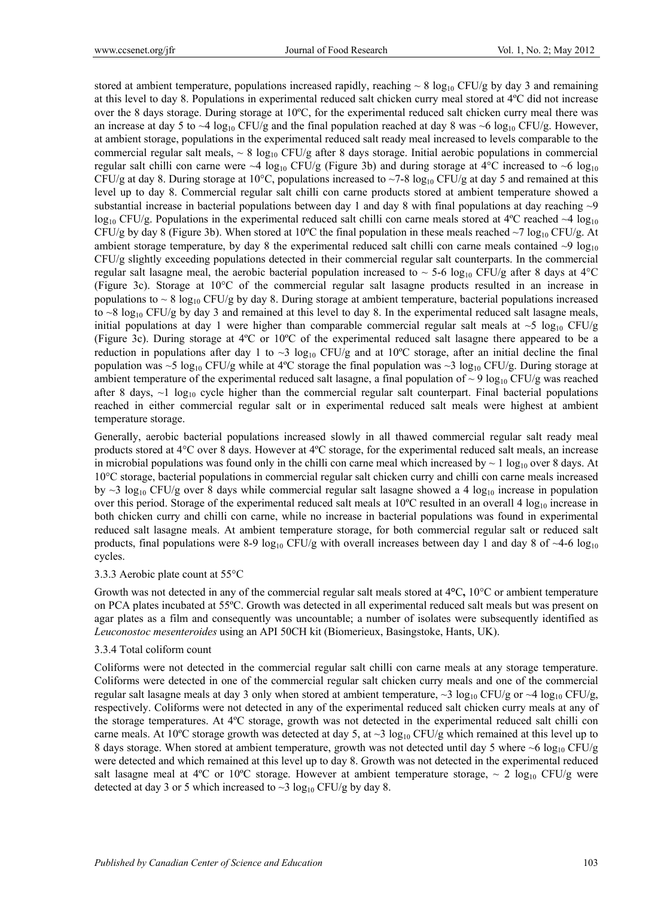stored at ambient temperature, populations increased rapidly, reaching  $\sim 8 \log_{10} CFU/g$  by day 3 and remaining at this level to day 8. Populations in experimental reduced salt chicken curry meal stored at 4ºC did not increase over the 8 days storage. During storage at 10ºC, for the experimental reduced salt chicken curry meal there was an increase at day 5 to  $\sim$ 4 log<sub>10</sub> CFU/g and the final population reached at day 8 was  $\sim$ 6 log<sub>10</sub> CFU/g. However, at ambient storage, populations in the experimental reduced salt ready meal increased to levels comparable to the commercial regular salt meals,  $\sim 8 \log_{10} CFU/g$  after 8 days storage. Initial aerobic populations in commercial regular salt chilli con carne were  $\sim$ 4 log<sub>10</sub> CFU/g (Figure 3b) and during storage at 4<sup>o</sup>C increased to  $\sim$ 6 log<sub>10</sub> CFU/g at day 8. During storage at 10°C, populations increased to  $\sim$ 7-8 log<sub>10</sub> CFU/g at day 5 and remained at this level up to day 8. Commercial regular salt chilli con carne products stored at ambient temperature showed a substantial increase in bacterial populations between day 1 and day 8 with final populations at day reaching  $\sim$ 9  $log_{10}$  CFU/g. Populations in the experimental reduced salt chilli con carne meals stored at 4<sup>o</sup>C reached  $\sim$ 4 log<sub>10</sub> CFU/g by day 8 (Figure 3b). When stored at 10<sup>o</sup>C the final population in these meals reached  $\sim$ 7 log<sub>10</sub> CFU/g. At ambient storage temperature, by day 8 the experimental reduced salt chilli con carne meals contained  $\sim$ 9 log<sub>10</sub> CFU/g slightly exceeding populations detected in their commercial regular salt counterparts. In the commercial regular salt lasagne meal, the aerobic bacterial population increased to  $\sim$  5-6 log<sub>10</sub> CFU/g after 8 days at 4<sup>o</sup>C (Figure 3c). Storage at 10°C of the commercial regular salt lasagne products resulted in an increase in populations to  $\sim 8 \log_{10}$  CFU/g by day 8. During storage at ambient temperature, bacterial populations increased to  $\sim$ 8 log<sub>10</sub> CFU/g by day 3 and remained at this level to day 8. In the experimental reduced salt lasagne meals, initial populations at day 1 were higher than comparable commercial regular salt meals at  $\sim$ 5 log<sub>10</sub> CFU/g (Figure 3c). During storage at 4ºC or 10ºC of the experimental reduced salt lasagne there appeared to be a reduction in populations after day 1 to  $\sim$ 3 log<sub>10</sub> CFU/g and at 10<sup>o</sup>C storage, after an initial decline the final population was ~5 log<sub>10</sub> CFU/g while at 4°C storage the final population was ~3 log<sub>10</sub> CFU/g. During storage at ambient temperature of the experimental reduced salt lasagne, a final population of  $\sim$  9 log<sub>10</sub> CFU/g was reached after 8 days,  $\sim$ 1 log<sub>10</sub> cycle higher than the commercial regular salt counterpart. Final bacterial populations reached in either commercial regular salt or in experimental reduced salt meals were highest at ambient temperature storage.

Generally, aerobic bacterial populations increased slowly in all thawed commercial regular salt ready meal products stored at 4°C over 8 days. However at 4ºC storage, for the experimental reduced salt meals, an increase in microbial populations was found only in the chilli con carne meal which increased by  $\sim 1 \log_{10}$  over 8 days. At 10°C storage, bacterial populations in commercial regular salt chicken curry and chilli con carne meals increased by  $\sim$ 3 log<sub>10</sub> CFU/g over 8 days while commercial regular salt lasagne showed a 4 log<sub>10</sub> increase in population over this period. Storage of the experimental reduced salt meals at  $10^{\circ}$ C resulted in an overall 4  $\log_{10}$  increase in both chicken curry and chilli con carne, while no increase in bacterial populations was found in experimental reduced salt lasagne meals. At ambient temperature storage, for both commercial regular salt or reduced salt products, final populations were 8-9 log<sub>10</sub> CFU/g with overall increases between day 1 and day 8 of  $\sim$ 4-6 log<sub>10</sub> cycles.

#### 3.3.3 Aerobic plate count at 55°C

Growth was not detected in any of the commercial regular salt meals stored at 4**°**C**,** 10°C or ambient temperature on PCA plates incubated at 55ºC. Growth was detected in all experimental reduced salt meals but was present on agar plates as a film and consequently was uncountable; a number of isolates were subsequently identified as *Leuconostoc mesenteroides* using an API 50CH kit (Biomerieux, Basingstoke, Hants, UK).

#### 3.3.4 Total coliform count

Coliforms were not detected in the commercial regular salt chilli con carne meals at any storage temperature. Coliforms were detected in one of the commercial regular salt chicken curry meals and one of the commercial regular salt lasagne meals at day 3 only when stored at ambient temperature,  $\sim$ 3 log<sub>10</sub> CFU/g or  $\sim$ 4 log<sub>10</sub> CFU/g, respectively. Coliforms were not detected in any of the experimental reduced salt chicken curry meals at any of the storage temperatures. At 4ºC storage, growth was not detected in the experimental reduced salt chilli con carne meals. At 10<sup>o</sup>C storage growth was detected at day 5, at  $\sim$ 3 log<sub>10</sub> CFU/g which remained at this level up to 8 days storage. When stored at ambient temperature, growth was not detected until day 5 where ~6  $\log_{10}$  CFU/g were detected and which remained at this level up to day 8. Growth was not detected in the experimental reduced salt lasagne meal at 4°C or 10°C storage. However at ambient temperature storage,  $\sim 2 \log_{10} CFU/g$  were detected at day 3 or 5 which increased to  $\sim$ 3 log<sub>10</sub> CFU/g by day 8.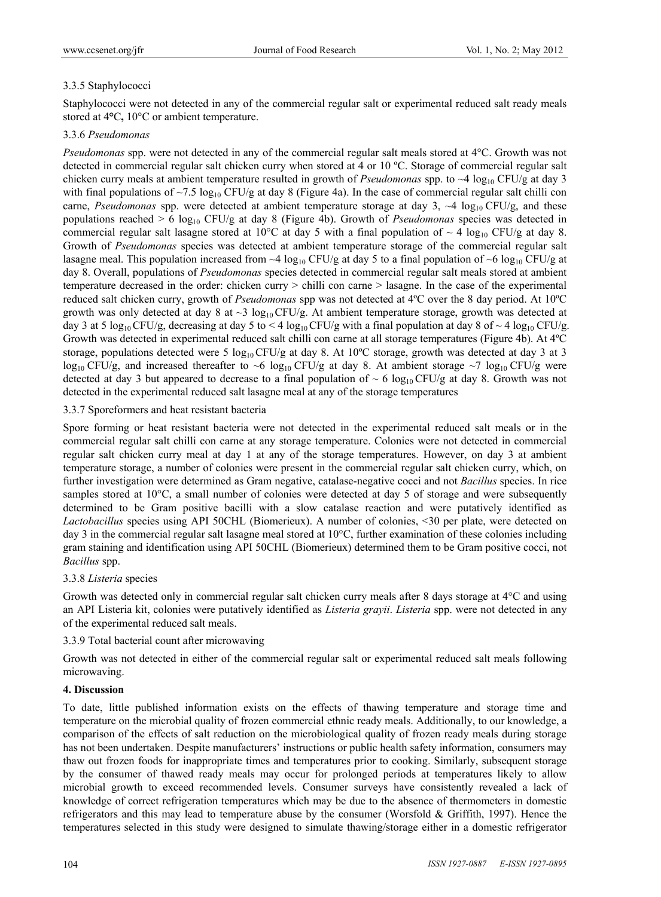# 3.3.5 Staphylococci

Staphylococci were not detected in any of the commercial regular salt or experimental reduced salt ready meals stored at 4**°**C**,** 10°C or ambient temperature.

## 3.3.6 *Pseudomonas*

*Pseudomonas* spp. were not detected in any of the commercial regular salt meals stored at 4°C. Growth was not detected in commercial regular salt chicken curry when stored at 4 or 10 ºC. Storage of commercial regular salt chicken curry meals at ambient temperature resulted in growth of *Pseudomonas* spp. to  $\sim$ 4 log<sub>10</sub> CFU/g at day 3 with final populations of  $\sim$ 7.5 log<sub>10</sub> CFU/g at day 8 (Figure 4a). In the case of commercial regular salt chilli con carne, *Pseudomonas* spp. were detected at ambient temperature storage at day 3, ~4 log<sub>10</sub> CFU/g, and these populations reached > 6 log10 CFU/g at day 8 (Figure 4b). Growth of *Pseudomonas* species was detected in commercial regular salt lasagne stored at 10 $^{\circ}$ C at day 5 with a final population of  $\sim$  4 log<sub>10</sub> CFU/g at day 8. Growth of *Pseudomonas* species was detected at ambient temperature storage of the commercial regular salt lasagne meal. This population increased from  $\sim$ 4 log<sub>10</sub> CFU/g at day 5 to a final population of  $\sim$ 6 log<sub>10</sub> CFU/g at day 8. Overall, populations of *Pseudomonas* species detected in commercial regular salt meals stored at ambient temperature decreased in the order: chicken curry > chilli con carne > lasagne. In the case of the experimental reduced salt chicken curry, growth of *Pseudomonas* spp was not detected at 4ºC over the 8 day period. At 10ºC growth was only detected at day 8 at  $\sim$ 3 log<sub>10</sub> CFU/g. At ambient temperature storage, growth was detected at day 3 at 5 log<sub>10</sub> CFU/g, decreasing at day 5 to < 4 log<sub>10</sub> CFU/g with a final population at day 8 of ~ 4 log<sub>10</sub> CFU/g. Growth was detected in experimental reduced salt chilli con carne at all storage temperatures (Figure 4b). At 4ºC storage, populations detected were 5 log<sub>10</sub>CFU/g at day 8. At 10<sup>o</sup>C storage, growth was detected at day 3 at 3  $\log_{10}$  CFU/g, and increased thereafter to ~6  $\log_{10}$  CFU/g at day 8. At ambient storage ~7  $\log_{10}$  CFU/g were detected at day 3 but appeared to decrease to a final population of  $\sim 6 \log_{10} CFU/g$  at day 8. Growth was not detected in the experimental reduced salt lasagne meal at any of the storage temperatures

3.3.7 Sporeformers and heat resistant bacteria

Spore forming or heat resistant bacteria were not detected in the experimental reduced salt meals or in the commercial regular salt chilli con carne at any storage temperature. Colonies were not detected in commercial regular salt chicken curry meal at day 1 at any of the storage temperatures. However, on day 3 at ambient temperature storage, a number of colonies were present in the commercial regular salt chicken curry, which, on further investigation were determined as Gram negative, catalase-negative cocci and not *Bacillus* species. In rice samples stored at 10<sup>o</sup>C, a small number of colonies were detected at day 5 of storage and were subsequently determined to be Gram positive bacilli with a slow catalase reaction and were putatively identified as *Lactobacillus* species using API 50CHL (Biomerieux). A number of colonies, <30 per plate, were detected on day 3 in the commercial regular salt lasagne meal stored at 10°C, further examination of these colonies including gram staining and identification using API 50CHL (Biomerieux) determined them to be Gram positive cocci, not *Bacillus* spp.

## 3.3.8 *Listeria* species

Growth was detected only in commercial regular salt chicken curry meals after 8 days storage at 4°C and using an API Listeria kit, colonies were putatively identified as *Listeria grayii*. *Listeria* spp. were not detected in any of the experimental reduced salt meals.

3.3.9 Total bacterial count after microwaving

Growth was not detected in either of the commercial regular salt or experimental reduced salt meals following microwaving.

## **4. Discussion**

To date, little published information exists on the effects of thawing temperature and storage time and temperature on the microbial quality of frozen commercial ethnic ready meals. Additionally, to our knowledge, a comparison of the effects of salt reduction on the microbiological quality of frozen ready meals during storage has not been undertaken. Despite manufacturers' instructions or public health safety information, consumers may thaw out frozen foods for inappropriate times and temperatures prior to cooking. Similarly, subsequent storage by the consumer of thawed ready meals may occur for prolonged periods at temperatures likely to allow microbial growth to exceed recommended levels. Consumer surveys have consistently revealed a lack of knowledge of correct refrigeration temperatures which may be due to the absence of thermometers in domestic refrigerators and this may lead to temperature abuse by the consumer (Worsfold & Griffith, 1997). Hence the temperatures selected in this study were designed to simulate thawing/storage either in a domestic refrigerator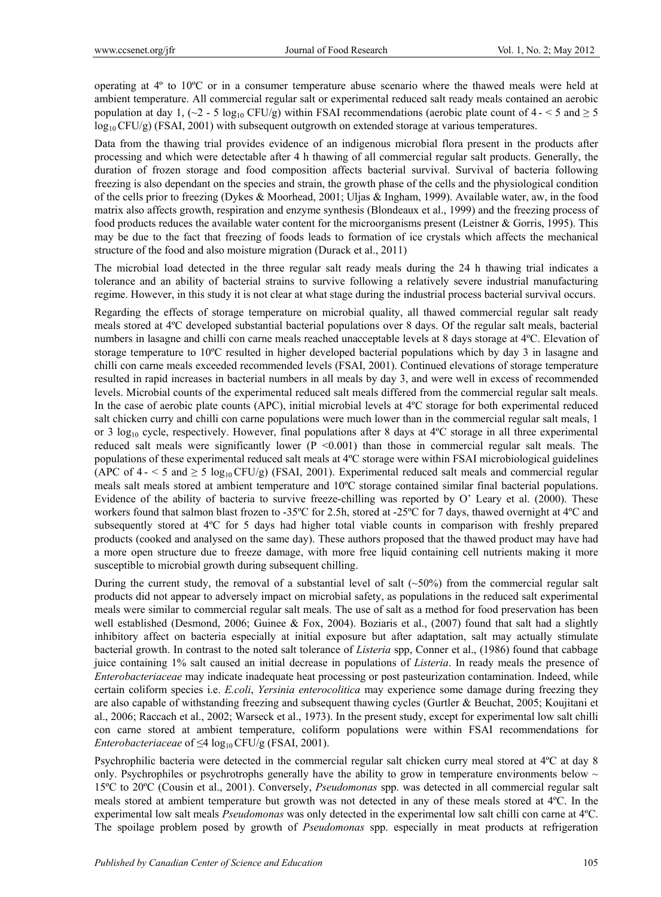operating at 4º to 10ºC or in a consumer temperature abuse scenario where the thawed meals were held at ambient temperature. All commercial regular salt or experimental reduced salt ready meals contained an aerobic population at day 1, ( $\sim$ 2 - 5 log<sub>10</sub> CFU/g) within FSAI recommendations (aerobic plate count of 4 -  $\lt$  5 and  $\geq$  5  $log_{10}$  CFU/g) (FSAI, 2001) with subsequent outgrowth on extended storage at various temperatures.

Data from the thawing trial provides evidence of an indigenous microbial flora present in the products after processing and which were detectable after 4 h thawing of all commercial regular salt products. Generally, the duration of frozen storage and food composition affects bacterial survival. Survival of bacteria following freezing is also dependant on the species and strain, the growth phase of the cells and the physiological condition of the cells prior to freezing (Dykes & Moorhead, 2001; Uljas & Ingham, 1999). Available water, aw, in the food matrix also affects growth, respiration and enzyme synthesis (Blondeaux et al., 1999) and the freezing process of food products reduces the available water content for the microorganisms present (Leistner & Gorris, 1995). This may be due to the fact that freezing of foods leads to formation of ice crystals which affects the mechanical structure of the food and also moisture migration (Durack et al., 2011)

The microbial load detected in the three regular salt ready meals during the 24 h thawing trial indicates a tolerance and an ability of bacterial strains to survive following a relatively severe industrial manufacturing regime. However, in this study it is not clear at what stage during the industrial process bacterial survival occurs.

Regarding the effects of storage temperature on microbial quality, all thawed commercial regular salt ready meals stored at 4ºC developed substantial bacterial populations over 8 days. Of the regular salt meals, bacterial numbers in lasagne and chilli con carne meals reached unacceptable levels at 8 days storage at 4ºC. Elevation of storage temperature to 10ºC resulted in higher developed bacterial populations which by day 3 in lasagne and chilli con carne meals exceeded recommended levels (FSAI, 2001). Continued elevations of storage temperature resulted in rapid increases in bacterial numbers in all meals by day 3, and were well in excess of recommended levels. Microbial counts of the experimental reduced salt meals differed from the commercial regular salt meals. In the case of aerobic plate counts (APC), initial microbial levels at 4ºC storage for both experimental reduced salt chicken curry and chilli con carne populations were much lower than in the commercial regular salt meals, 1 or 3 log<sub>10</sub> cycle, respectively. However, final populations after 8 days at  $4^{\circ}$ C storage in all three experimental reduced salt meals were significantly lower  $(P \le 0.001)$  than those in commercial regular salt meals. The populations of these experimental reduced salt meals at 4ºC storage were within FSAI microbiological guidelines (APC of  $4 - 5$  and  $\geq 5 \log_{10} CFU/g$ ) (FSAI, 2001). Experimental reduced salt meals and commercial regular meals salt meals stored at ambient temperature and 10ºC storage contained similar final bacterial populations. Evidence of the ability of bacteria to survive freeze-chilling was reported by O' Leary et al. (2000). These workers found that salmon blast frozen to -35°C for 2.5h, stored at -25°C for 7 days, thawed overnight at 4°C and subsequently stored at 4ºC for 5 days had higher total viable counts in comparison with freshly prepared products (cooked and analysed on the same day). These authors proposed that the thawed product may have had a more open structure due to freeze damage, with more free liquid containing cell nutrients making it more susceptible to microbial growth during subsequent chilling.

During the current study, the removal of a substantial level of salt  $(-50%)$  from the commercial regular salt products did not appear to adversely impact on microbial safety, as populations in the reduced salt experimental meals were similar to commercial regular salt meals. The use of salt as a method for food preservation has been well established (Desmond, 2006; Guinee & Fox, 2004). Boziaris et al., (2007) found that salt had a slightly inhibitory affect on bacteria especially at initial exposure but after adaptation, salt may actually stimulate bacterial growth. In contrast to the noted salt tolerance of *Listeria* spp, Conner et al., (1986) found that cabbage juice containing 1% salt caused an initial decrease in populations of *Listeria*. In ready meals the presence of *Enterobacteriaceae* may indicate inadequate heat processing or post pasteurization contamination. Indeed, while certain coliform species i.e. *E.coli*, *Yersinia enterocolitica* may experience some damage during freezing they are also capable of withstanding freezing and subsequent thawing cycles (Gurtler & Beuchat, 2005; Koujitani et al., 2006; Raccach et al., 2002; Warseck et al., 1973). In the present study, except for experimental low salt chilli con carne stored at ambient temperature, coliform populations were within FSAI recommendations for *Enterobacteriaceae* of  $\leq$ 4 log<sub>10</sub> CFU/g (FSAI, 2001).

Psychrophilic bacteria were detected in the commercial regular salt chicken curry meal stored at 4ºC at day 8 only. Psychrophiles or psychrotrophs generally have the ability to grow in temperature environments below  $\sim$ 15ºC to 20ºC (Cousin et al., 2001). Conversely, *Pseudomonas* spp. was detected in all commercial regular salt meals stored at ambient temperature but growth was not detected in any of these meals stored at 4ºC. In the experimental low salt meals *Pseudomonas* was only detected in the experimental low salt chilli con carne at 4ºC. The spoilage problem posed by growth of *Pseudomonas* spp. especially in meat products at refrigeration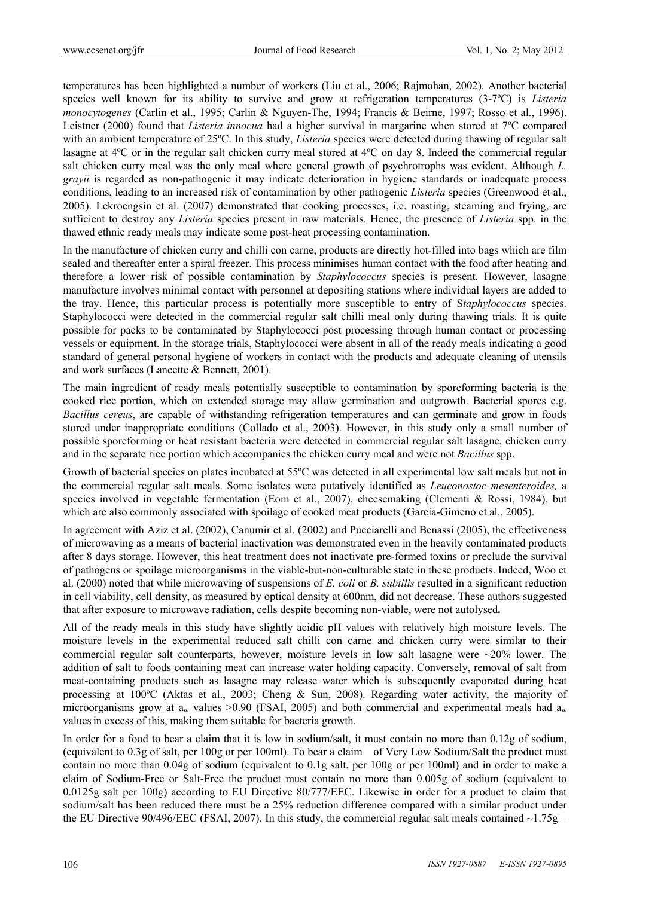temperatures has been highlighted a number of workers (Liu et al., 2006; Rajmohan, 2002). Another bacterial species well known for its ability to survive and grow at refrigeration temperatures (3-7ºC) is *Listeria monocytogenes* (Carlin et al., 1995; Carlin & Nguyen-The, 1994; Francis & Beirne, 1997; Rosso et al., 1996). Leistner (2000) found that *Listeria innocua* had a higher survival in margarine when stored at 7ºC compared with an ambient temperature of 25°C. In this study, *Listeria* species were detected during thawing of regular salt lasagne at 4ºC or in the regular salt chicken curry meal stored at 4ºC on day 8. Indeed the commercial regular salt chicken curry meal was the only meal where general growth of psychrotrophs was evident. Although *L. grayii* is regarded as non-pathogenic it may indicate deterioration in hygiene standards or inadequate process conditions, leading to an increased risk of contamination by other pathogenic *Listeria* species (Greenwood et al., 2005). Lekroengsin et al. (2007) demonstrated that cooking processes, i.e. roasting, steaming and frying, are sufficient to destroy any *Listeria* species present in raw materials. Hence, the presence of *Listeria* spp. in the thawed ethnic ready meals may indicate some post-heat processing contamination.

In the manufacture of chicken curry and chilli con carne, products are directly hot-filled into bags which are film sealed and thereafter enter a spiral freezer. This process minimises human contact with the food after heating and therefore a lower risk of possible contamination by *Staphylococcus* species is present. However, lasagne manufacture involves minimal contact with personnel at depositing stations where individual layers are added to the tray. Hence, this particular process is potentially more susceptible to entry of S*taphylococcus* species. Staphylococci were detected in the commercial regular salt chilli meal only during thawing trials. It is quite possible for packs to be contaminated by Staphylococci post processing through human contact or processing vessels or equipment. In the storage trials, Staphylococci were absent in all of the ready meals indicating a good standard of general personal hygiene of workers in contact with the products and adequate cleaning of utensils and work surfaces (Lancette & Bennett, 2001).

The main ingredient of ready meals potentially susceptible to contamination by sporeforming bacteria is the cooked rice portion, which on extended storage may allow germination and outgrowth. Bacterial spores e.g. *Bacillus cereus*, are capable of withstanding refrigeration temperatures and can germinate and grow in foods stored under inappropriate conditions (Collado et al., 2003). However, in this study only a small number of possible sporeforming or heat resistant bacteria were detected in commercial regular salt lasagne, chicken curry and in the separate rice portion which accompanies the chicken curry meal and were not *Bacillus* spp.

Growth of bacterial species on plates incubated at 55ºC was detected in all experimental low salt meals but not in the commercial regular salt meals. Some isolates were putatively identified as *Leuconostoc mesenteroides,* a species involved in vegetable fermentation (Eom et al., 2007), cheesemaking (Clementi & Rossi, 1984), but which are also commonly associated with spoilage of cooked meat products (García-Gimeno et al., 2005).

In agreement with Aziz et al. (2002), Canumir et al. (2002) and Pucciarelli and Benassi (2005), the effectiveness of microwaving as a means of bacterial inactivation was demonstrated even in the heavily contaminated products after 8 days storage. However, this heat treatment does not inactivate pre-formed toxins or preclude the survival of pathogens or spoilage microorganisms in the viable-but-non-culturable state in these products. Indeed, Woo et al. (2000) noted that while microwaving of suspensions of *E. coli* or *B. subtilis* resulted in a significant reduction in cell viability, cell density, as measured by optical density at 600nm, did not decrease. These authors suggested that after exposure to microwave radiation, cells despite becoming non-viable, were not autolysed**.** 

All of the ready meals in this study have slightly acidic pH values with relatively high moisture levels. The moisture levels in the experimental reduced salt chilli con carne and chicken curry were similar to their commercial regular salt counterparts, however, moisture levels in low salt lasagne were ~20% lower. The addition of salt to foods containing meat can increase water holding capacity. Conversely, removal of salt from meat-containing products such as lasagne may release water which is subsequently evaporated during heat processing at 100ºC (Aktas et al., 2003; Cheng & Sun, 2008). Regarding water activity, the majority of microorganisms grow at  $a_w$  values >0.90 (FSAI, 2005) and both commercial and experimental meals had  $a_w$ valuesin excess of this, making them suitable for bacteria growth.

In order for a food to bear a claim that it is low in sodium/salt, it must contain no more than 0.12g of sodium, (equivalent to 0.3g of salt, per 100g or per 100ml). To bear a claim of Very Low Sodium/Salt the product must contain no more than 0.04g of sodium (equivalent to 0.1g salt, per 100g or per 100ml) and in order to make a claim of Sodium-Free or Salt-Free the product must contain no more than 0.005g of sodium (equivalent to 0.0125g salt per 100g) according to EU Directive 80/777/EEC. Likewise in order for a product to claim that sodium/salt has been reduced there must be a 25% reduction difference compared with a similar product under the EU Directive 90/496/EEC (FSAI, 2007). In this study, the commercial regular salt meals contained  $\sim$ 1.75g –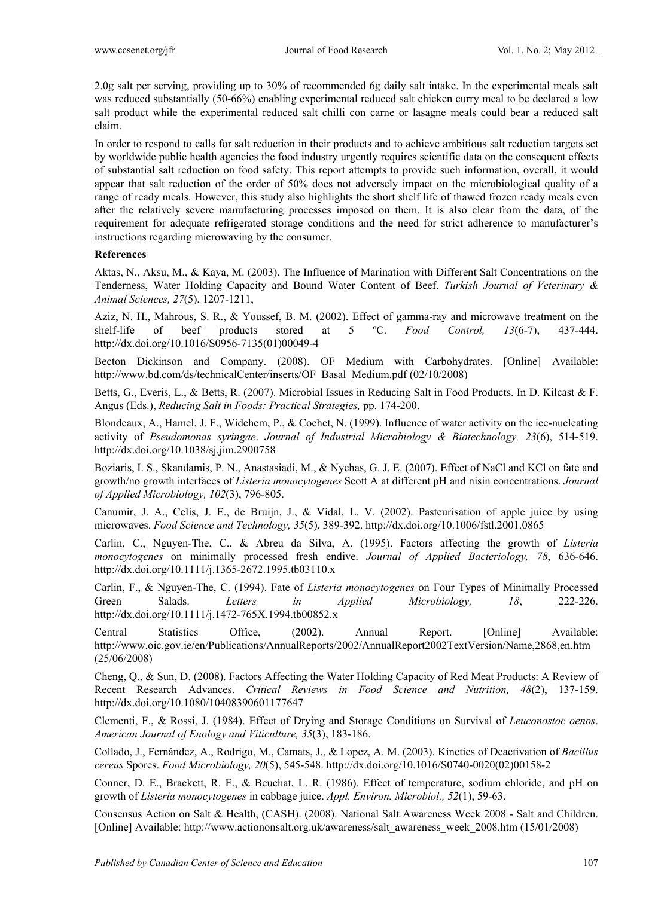2.0g salt per serving, providing up to 30% of recommended 6g daily salt intake. In the experimental meals salt was reduced substantially (50-66%) enabling experimental reduced salt chicken curry meal to be declared a low salt product while the experimental reduced salt chilli con carne or lasagne meals could bear a reduced salt claim.

In order to respond to calls for salt reduction in their products and to achieve ambitious salt reduction targets set by worldwide public health agencies the food industry urgently requires scientific data on the consequent effects of substantial salt reduction on food safety. This report attempts to provide such information, overall, it would appear that salt reduction of the order of 50% does not adversely impact on the microbiological quality of a range of ready meals. However, this study also highlights the short shelf life of thawed frozen ready meals even after the relatively severe manufacturing processes imposed on them. It is also clear from the data, of the requirement for adequate refrigerated storage conditions and the need for strict adherence to manufacturer's instructions regarding microwaving by the consumer.

#### **References**

Aktas, N., Aksu, M., & Kaya, M. (2003). The Influence of Marination with Different Salt Concentrations on the Tenderness, Water Holding Capacity and Bound Water Content of Beef. *Turkish Journal of Veterinary & Animal Sciences, 27*(5), 1207-1211,

Aziz, N. H., Mahrous, S. R., & Youssef, B. M. (2002). Effect of gamma-ray and microwave treatment on the shelf-life of beef products stored at 5 ºC. *Food Control, 13*(6-7), 437-444. http://dx.doi.org/10.1016/S0956-7135(01)00049-4

Becton Dickinson and Company. (2008). OF Medium with Carbohydrates. [Online] Available: http://www.bd.com/ds/technicalCenter/inserts/OF\_Basal\_Medium.pdf (02/10/2008)

Betts, G., Everis, L., & Betts, R. (2007). Microbial Issues in Reducing Salt in Food Products. In D. Kilcast & F. Angus (Eds.), *Reducing Salt in Foods: Practical Strategies,* pp. 174-200.

Blondeaux, A., Hamel, J. F., Widehem, P., & Cochet, N. (1999). Influence of water activity on the ice-nucleating activity of *Pseudomonas syringae*. *Journal of Industrial Microbiology & Biotechnology, 23*(6), 514-519. http://dx.doi.org/10.1038/sj.jim.2900758

Boziaris, I. S., Skandamis, P. N., Anastasiadi, M., & Nychas, G. J. E. (2007). Effect of NaCl and KCl on fate and growth/no growth interfaces of *Listeria monocytogenes* Scott A at different pH and nisin concentrations. *Journal of Applied Microbiology, 102*(3), 796-805.

Canumir, J. A., Celis, J. E., de Bruijn, J., & Vidal, L. V. (2002). Pasteurisation of apple juice by using microwaves. *Food Science and Technology, 35*(5), 389-392. http://dx.doi.org/10.1006/fstl.2001.0865

Carlin, C., Nguyen-The, C., & Abreu da Silva, A. (1995). Factors affecting the growth of *Listeria monocytogenes* on minimally processed fresh endive. *Journal of Applied Bacteriology, 78*, 636-646. http://dx.doi.org/10.1111/j.1365-2672.1995.tb03110.x

Carlin, F., & Nguyen-The, C. (1994). Fate of *Listeria monocytogenes* on Four Types of Minimally Processed Green Salads. *Letters in Applied Microbiology, 18*, 222-226. http://dx.doi.org/10.1111/j.1472-765X.1994.tb00852.x

Central Statistics Office, (2002). Annual Report. [Online] Available: http://www.oic.gov.ie/en/Publications/AnnualReports/2002/AnnualReport2002TextVersion/Name,2868,en.htm (25/06/2008)

Cheng, Q., & Sun, D. (2008). Factors Affecting the Water Holding Capacity of Red Meat Products: A Review of Recent Research Advances. *Critical Reviews in Food Science and Nutrition, 48*(2), 137-159. http://dx.doi.org/10.1080/10408390601177647

Clementi, F., & Rossi, J. (1984). Effect of Drying and Storage Conditions on Survival of *Leuconostoc oenos*. *American Journal of Enology and Viticulture, 35*(3), 183-186.

Collado, J., Fernández, A., Rodrigo, M., Camats, J., & Lopez, A. M. (2003). Kinetics of Deactivation of *Bacillus cereus* Spores. *Food Microbiology, 20*(5), 545-548. http://dx.doi.org/10.1016/S0740-0020(02)00158-2

Conner, D. E., Brackett, R. E., & Beuchat, L. R. (1986). Effect of temperature, sodium chloride, and pH on growth of *Listeria monocytogenes* in cabbage juice. *Appl. Environ. Microbiol., 52*(1), 59-63.

Consensus Action on Salt & Health, (CASH). (2008). National Salt Awareness Week 2008 - Salt and Children. [Online] Available: http://www.actiononsalt.org.uk/awareness/salt\_awareness\_week\_2008.htm (15/01/2008)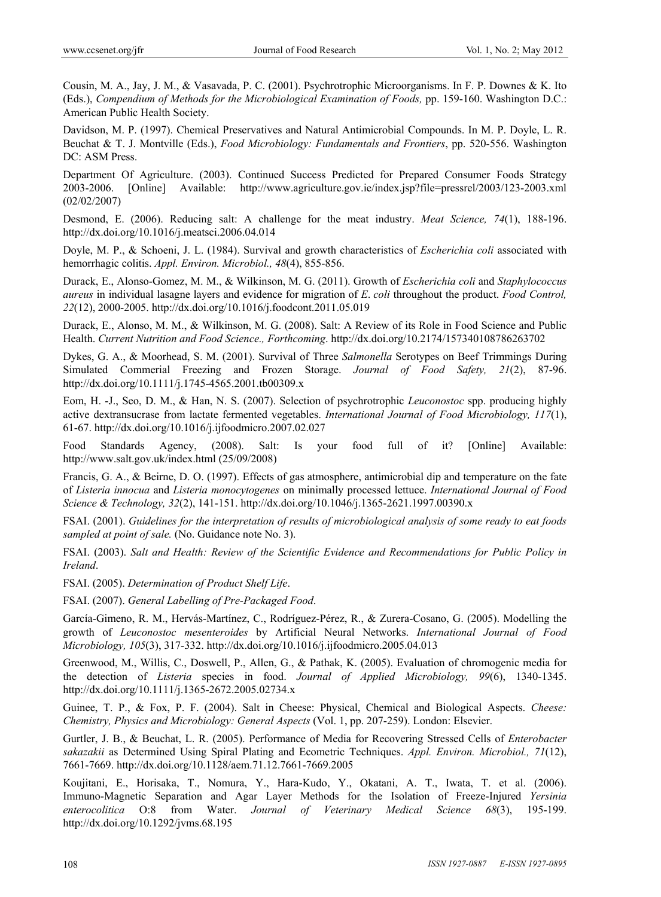Cousin, M. A., Jay, J. M., & Vasavada, P. C. (2001). Psychrotrophic Microorganisms. In F. P. Downes & K. Ito (Eds.), *Compendium of Methods for the Microbiological Examination of Foods,* pp. 159-160. Washington D.C.: American Public Health Society.

Davidson, M. P. (1997). Chemical Preservatives and Natural Antimicrobial Compounds. In M. P. Doyle, L. R. Beuchat & T. J. Montville (Eds.), *Food Microbiology: Fundamentals and Frontiers*, pp. 520-556. Washington DC: ASM Press.

Department Of Agriculture. (2003). Continued Success Predicted for Prepared Consumer Foods Strategy 2003-2006. [Online] Available: http://www.agriculture.gov.ie/index.jsp?file=pressrel/2003/123-2003.xml (02/02/2007)

Desmond, E. (2006). Reducing salt: A challenge for the meat industry. *Meat Science, 74*(1), 188-196. http://dx.doi.org/10.1016/j.meatsci.2006.04.014

Doyle, M. P., & Schoeni, J. L. (1984). Survival and growth characteristics of *Escherichia coli* associated with hemorrhagic colitis. *Appl. Environ. Microbiol., 48*(4), 855-856.

Durack, E., Alonso-Gomez, M. M., & Wilkinson, M. G. (2011). Growth of *Escherichia coli* and *Staphylococcus aureus* in individual lasagne layers and evidence for migration of *E*. *coli* throughout the product. *Food Control, 22*(12), 2000-2005. http://dx.doi.org/10.1016/j.foodcont.2011.05.019

Durack, E., Alonso, M. M., & Wilkinson, M. G. (2008). Salt: A Review of its Role in Food Science and Public Health. *Current Nutrition and Food Science., Forthcoming*. http://dx.doi.org/10.2174/157340108786263702

Dykes, G. A., & Moorhead, S. M. (2001). Survival of Three *Salmonella* Serotypes on Beef Trimmings During Simulated Commerial Freezing and Frozen Storage. *Journal of Food Safety, 21*(2), 87-96. http://dx.doi.org/10.1111/j.1745-4565.2001.tb00309.x

Eom, H. -J., Seo, D. M., & Han, N. S. (2007). Selection of psychrotrophic *Leuconostoc* spp. producing highly active dextransucrase from lactate fermented vegetables. *International Journal of Food Microbiology, 117*(1), 61-67. http://dx.doi.org/10.1016/j.ijfoodmicro.2007.02.027

Food Standards Agency, (2008). Salt: Is your food full of it? [Online] Available: http://www.salt.gov.uk/index.html (25/09/2008)

Francis, G. A., & Beirne, D. O. (1997). Effects of gas atmosphere, antimicrobial dip and temperature on the fate of *Listeria innocua* and *Listeria monocytogenes* on minimally processed lettuce. *International Journal of Food Science & Technology, 32*(2), 141-151. http://dx.doi.org/10.1046/j.1365-2621.1997.00390.x

FSAI. (2001). *Guidelines for the interpretation of results of microbiological analysis of some ready to eat foods sampled at point of sale.* (No. Guidance note No. 3).

FSAI. (2003). *Salt and Health: Review of the Scientific Evidence and Recommendations for Public Policy in Ireland*.

FSAI. (2005). *Determination of Product Shelf Life*.

FSAI. (2007). *General Labelling of Pre-Packaged Food*.

García-Gimeno, R. M., Hervás-Martínez, C., Rodríguez-Pérez, R., & Zurera-Cosano, G. (2005). Modelling the growth of *Leuconostoc mesenteroides* by Artificial Neural Networks. *International Journal of Food Microbiology, 105*(3), 317-332. http://dx.doi.org/10.1016/j.ijfoodmicro.2005.04.013

Greenwood, M., Willis, C., Doswell, P., Allen, G., & Pathak, K. (2005). Evaluation of chromogenic media for the detection of *Listeria* species in food. *Journal of Applied Microbiology, 99*(6), 1340-1345. http://dx.doi.org/10.1111/j.1365-2672.2005.02734.x

Guinee, T. P., & Fox, P. F. (2004). Salt in Cheese: Physical, Chemical and Biological Aspects. *Cheese: Chemistry, Physics and Microbiology: General Aspects* (Vol. 1, pp. 207-259). London: Elsevier.

Gurtler, J. B., & Beuchat, L. R. (2005). Performance of Media for Recovering Stressed Cells of *Enterobacter sakazakii* as Determined Using Spiral Plating and Ecometric Techniques. *Appl. Environ. Microbiol., 71*(12), 7661-7669. http://dx.doi.org/10.1128/aem.71.12.7661-7669.2005

Koujitani, E., Horisaka, T., Nomura, Y., Hara-Kudo, Y., Okatani, A. T., Iwata, T. et al. (2006). Immuno-Magnetic Separation and Agar Layer Methods for the Isolation of Freeze-Injured *Yersinia enterocolitica* O:8 from Water. *Journal of Veterinary Medical Science 68*(3), 195-199. http://dx.doi.org/10.1292/jvms.68.195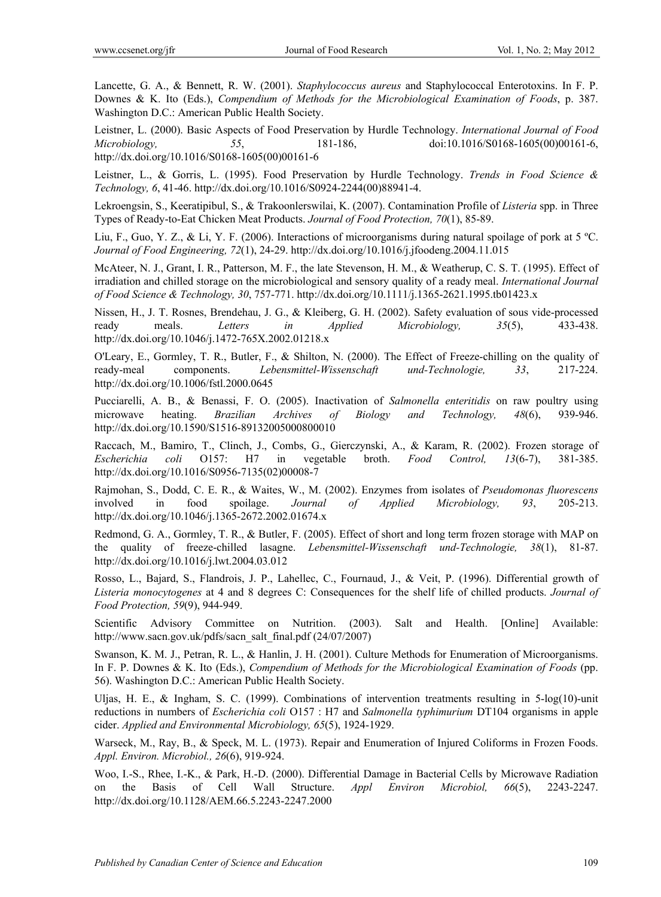Lancette, G. A., & Bennett, R. W. (2001). *Staphylococcus aureus* and Staphylococcal Enterotoxins. In F. P. Downes & K. Ito (Eds.), *Compendium of Methods for the Microbiological Examination of Foods*, p. 387. Washington D.C.: American Public Health Society.

Leistner, L. (2000). Basic Aspects of Food Preservation by Hurdle Technology. *International Journal of Food Microbiology, 55*, 181-186, doi:10.1016/S0168-1605(00)00161-6, http://dx.doi.org/10.1016/S0168-1605(00)00161-6

Leistner, L., & Gorris, L. (1995). Food Preservation by Hurdle Technology. *Trends in Food Science & Technology, 6*, 41-46. http://dx.doi.org/10.1016/S0924-2244(00)88941-4.

Lekroengsin, S., Keeratipibul, S., & Trakoonlerswilai, K. (2007). Contamination Profile of *Listeria* spp. in Three Types of Ready-to-Eat Chicken Meat Products. *Journal of Food Protection, 70*(1), 85-89.

Liu, F., Guo, Y. Z., & Li, Y. F. (2006). Interactions of microorganisms during natural spoilage of pork at 5 ºC. *Journal of Food Engineering, 72*(1), 24-29. http://dx.doi.org/10.1016/j.jfoodeng.2004.11.015

McAteer, N. J., Grant, I. R., Patterson, M. F., the late Stevenson, H. M., & Weatherup, C. S. T. (1995). Effect of irradiation and chilled storage on the microbiological and sensory quality of a ready meal. *International Journal of Food Science & Technology, 30*, 757-771. http://dx.doi.org/10.1111/j.1365-2621.1995.tb01423.x

Nissen, H., J. T. Rosnes, Brendehau, J. G., & Kleiberg, G. H. (2002). Safety evaluation of sous vide-processed ready meals. *Letters in Applied Microbiology, 35*(5), 433-438. http://dx.doi.org/10.1046/j.1472-765X.2002.01218.x

O'Leary, E., Gormley, T. R., Butler, F., & Shilton, N. (2000). The Effect of Freeze-chilling on the quality of ready-meal components. *Lebensmittel-Wissenschaft und-Technologie, 33*, 217-224. http://dx.doi.org/10.1006/fstl.2000.0645

Pucciarelli, A. B., & Benassi, F. O. (2005). Inactivation of *Salmonella enteritidis* on raw poultry using microwave heating. *Brazilian Archives of Biology and Technology, 48*(6), 939-946. http://dx.doi.org/10.1590/S1516-89132005000800010

Raccach, M., Bamiro, T., Clinch, J., Combs, G., Gierczynski, A., & Karam, R. (2002). Frozen storage of *Escherichia coli* O157: H7 in vegetable broth. *Food Control, 13*(6-7), 381-385. http://dx.doi.org/10.1016/S0956-7135(02)00008-7

Rajmohan, S., Dodd, C. E. R., & Waites, W., M. (2002). Enzymes from isolates of *Pseudomonas fluorescens*  involved in food spoilage. *Journal of Applied Microbiology, 93*, 205-213. http://dx.doi.org/10.1046/j.1365-2672.2002.01674.x

Redmond, G. A., Gormley, T. R., & Butler, F. (2005). Effect of short and long term frozen storage with MAP on the quality of freeze-chilled lasagne. *Lebensmittel-Wissenschaft und-Technologie, 38*(1), 81-87. http://dx.doi.org/10.1016/j.lwt.2004.03.012

Rosso, L., Bajard, S., Flandrois, J. P., Lahellec, C., Fournaud, J., & Veit, P. (1996). Differential growth of *Listeria monocytogenes* at 4 and 8 degrees C: Consequences for the shelf life of chilled products. *Journal of Food Protection, 59*(9), 944-949.

Scientific Advisory Committee on Nutrition. (2003). Salt and Health. [Online] Available: http://www.sacn.gov.uk/pdfs/sacn\_salt\_final.pdf (24/07/2007)

Swanson, K. M. J., Petran, R. L., & Hanlin, J. H. (2001). Culture Methods for Enumeration of Microorganisms. In F. P. Downes & K. Ito (Eds.), *Compendium of Methods for the Microbiological Examination of Foods* (pp. 56). Washington D.C.: American Public Health Society.

Uljas, H. E., & Ingham, S. C. (1999). Combinations of intervention treatments resulting in 5-log(10)-unit reductions in numbers of *Escherichia coli* O157 : H7 and *Salmonella typhimurium* DT104 organisms in apple cider. *Applied and Environmental Microbiology, 65*(5), 1924-1929.

Warseck, M., Ray, B., & Speck, M. L. (1973). Repair and Enumeration of Injured Coliforms in Frozen Foods. *Appl. Environ. Microbiol., 26*(6), 919-924.

Woo, I.-S., Rhee, I.-K., & Park, H.-D. (2000). Differential Damage in Bacterial Cells by Microwave Radiation on the Basis of Cell Wall Structure. *Appl Environ Microbiol, 66*(5), 2243-2247. http://dx.doi.org/10.1128/AEM.66.5.2243-2247.2000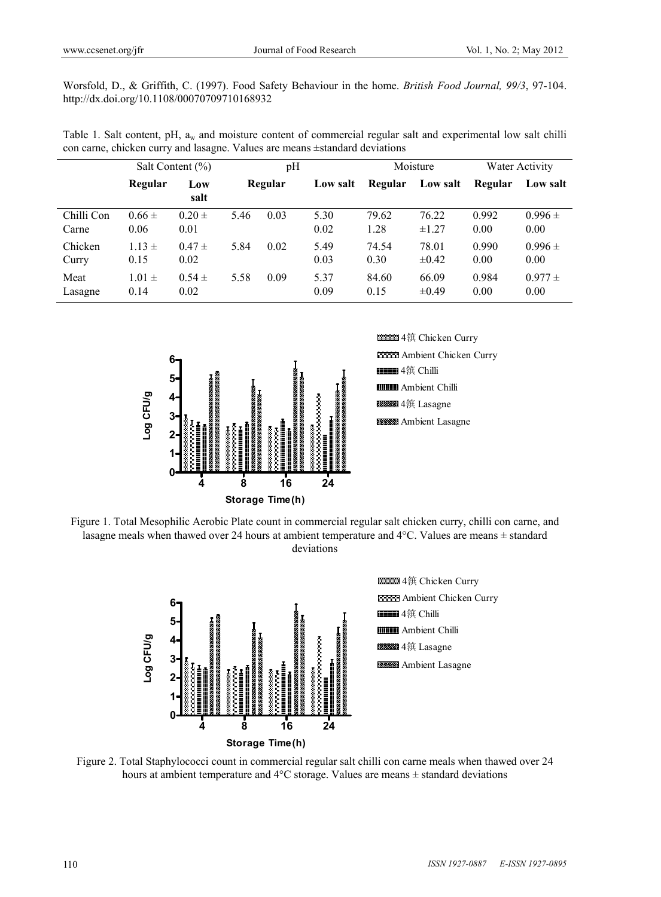Worsfold, D., & Griffith, C. (1997). Food Safety Behaviour in the home. *British Food Journal, 99/3*, 97-104. http://dx.doi.org/10.1108/00070709710168932

Table 1. Salt content, pH, a<sub>w</sub> and moisture content of commercial regular salt and experimental low salt chilli con carne, chicken curry and lasagne. Values are means ±standard deviations

|                     | Salt Content $(\% )$ |                      | pH   |         | Moisture     |               | Water Activity      |               |                     |
|---------------------|----------------------|----------------------|------|---------|--------------|---------------|---------------------|---------------|---------------------|
|                     | Regular              | Low<br>salt          |      | Regular | Low salt     | Regular       | Low salt            | Regular       | Low salt            |
| Chilli Con<br>Carne | $0.66 \pm$<br>0.06   | $0.20 \pm 1$<br>0.01 | 5.46 | 0.03    | 5.30<br>0.02 | 79.62<br>1.28 | 76.22<br>$\pm 1.27$ | 0.992<br>0.00 | $0.996 \pm$<br>0.00 |
| Chicken<br>Curry    | $1.13 \pm$<br>0.15   | $0.47 \pm$<br>0.02   | 5.84 | 0.02    | 5.49<br>0.03 | 74.54<br>0.30 | 78.01<br>$\pm 0.42$ | 0.990<br>0.00 | $0.996 \pm$<br>0.00 |
| Meat<br>Lasagne     | $1.01 \pm$<br>0.14   | $0.54 \pm$<br>0.02   | 5.58 | 0.09    | 5.37<br>0.09 | 84.60<br>0.15 | 66.09<br>$\pm 0.49$ | 0.984<br>0.00 | $0.977 \pm$<br>0.00 |





Figure 1. Total Mesophilic Aerobic Plate count in commercial regular salt chicken curry, chilli con carne, and lasagne meals when thawed over 24 hours at ambient temperature and 4°C. Values are means ± standard deviations



Figure 2. Total Staphylococci count in commercial regular salt chilli con carne meals when thawed over 24 hours at ambient temperature and  $4^{\circ}$ C storage. Values are means  $\pm$  standard deviations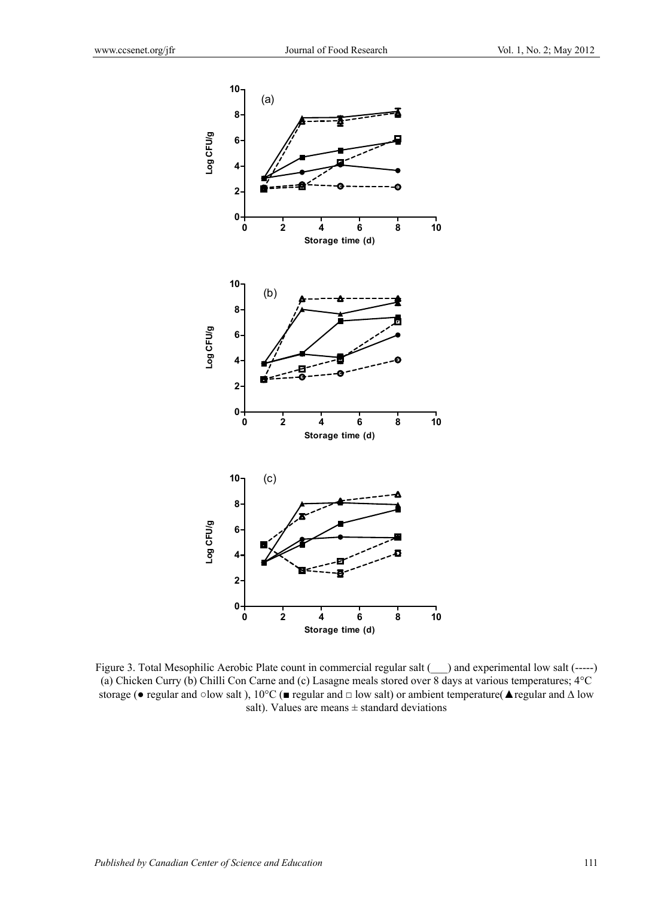

Figure 3. Total Mesophilic Aerobic Plate count in commercial regular salt (\_\_) and experimental low salt (-----) (a) Chicken Curry (b) Chilli Con Carne and (c) Lasagne meals stored over 8 days at various temperatures; 4°C storage (• regular and ○low salt ), 10°C (■ regular and □ low salt) or ambient temperature(▲regular and △ low salt). Values are means  $\pm$  standard deviations